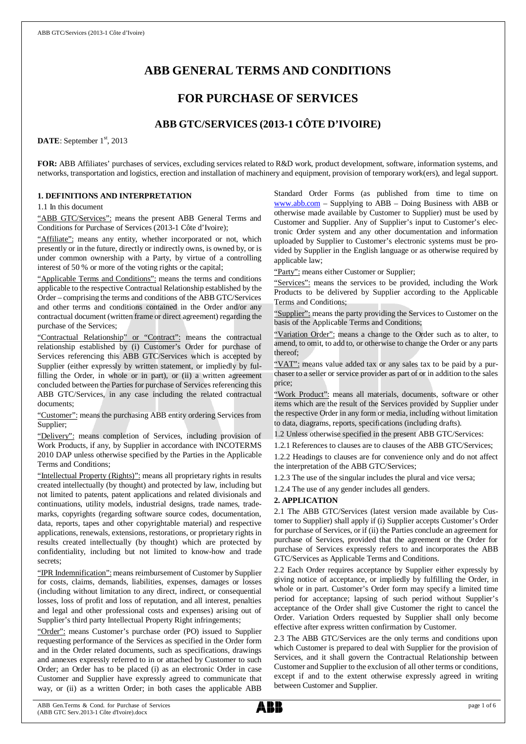# **ABB GENERAL TERMS AND CONDITIONS**

# **FOR PURCHASE OF SERVICES**

# **ABB GTC/SERVICES (2013-1 CÔTE D'IVOIRE)**

DATE: September 1<sup>st</sup>, 2013

**FOR:** ABB Affiliates' purchases of services, excluding services related to R&D work, product development, software, information systems, and networks, transportation and logistics, erection and installation of machinery and equipment, provision of temporary work(ers), and legal support.

# **1. DEFINITIONS AND INTERPRETATION**

1.1 In this document

"ABB GTC/Services": means the present ABB General Terms and Conditions for Purchase of Services (2013-1 Côte d'Ivoire);

"Affiliate": means any entity, whether incorporated or not, which presently or in the future, directly or indirectly owns, is owned by, or is under common ownership with a Party, by virtue of a controlling interest of 50 % or more of the voting rights or the capital;

"Applicable Terms and Conditions": means the terms and conditions applicable to the respective Contractual Relationship established by the Order – comprising the terms and conditions of the ABB GTC/Services and other terms and conditions contained in the Order and/or any contractual document (written frame or direct agreement) regarding the purchase of the Services;

"Contractual Relationship" or "Contract": means the contractual relationship established by (i) Customer's Order for purchase of Services referencing this ABB GTC/Services which is accepted by Supplier (either expressly by written statement, or impliedly by fulfilling the Order, in whole or in part), or (ii) a written agreement concluded between the Parties for purchase of Services referencing this ABB GTC/Services, in any case including the related contractual documents;

"Customer": means the purchasing ABB entity ordering Services from Supplier;

"Delivery": means completion of Services, including provision of Work Products, if any, by Supplier in accordance with INCOTERMS 2010 DAP unless otherwise specified by the Parties in the Applicable Terms and Conditions;

"Intellectual Property (Rights)": means all proprietary rights in results created intellectually (by thought) and protected by law, including but not limited to patents, patent applications and related divisionals and continuations, utility models, industrial designs, trade names, trademarks, copyrights (regarding software source codes, documentation, data, reports, tapes and other copyrightable material) and respective applications, renewals, extensions, restorations, or proprietary rights in results created intellectually (by thought) which are protected by confidentiality, including but not limited to know-how and trade secrets;

"IPR Indemnification": means reimbursement of Customer by Supplier for costs, claims, demands, liabilities, expenses, damages or losses (including without limitation to any direct, indirect, or consequential losses, loss of profit and loss of reputation, and all interest, penalties and legal and other professional costs and expenses) arising out of Supplier's third party Intellectual Property Right infringements;

"Order": means Customer's purchase order (PO) issued to Supplier requesting performance of the Services as specified in the Order form and in the Order related documents, such as specifications, drawings and annexes expressly referred to in or attached by Customer to such Order; an Order has to be placed (i) as an electronic Order in case Customer and Supplier have expressly agreed to communicate that way, or (ii) as a written Order; in both cases the applicable ABB Standard Order Forms (as published from time to time on [www.abb.com](http://www.abb.com/) – Supplying to ABB – Doing Business with ABB or otherwise made available by Customer to Supplier) must be used by Customer and Supplier. Any of Supplier's input to Customer's electronic Order system and any other documentation and information uploaded by Supplier to Customer's electronic systems must be provided by Supplier in the English language or as otherwise required by applicable law;

"Party": means either Customer or Supplier;

"Services": means the services to be provided, including the Work Products to be delivered by Supplier according to the Applicable Terms and Conditions;

"Supplier": means the party providing the Services to Customer on the basis of the Applicable Terms and Conditions;

"Variation Order": means a change to the Order such as to alter, to amend, to omit, to add to, or otherwise to change the Order or any parts thereof;

"VAT": means value added tax or any sales tax to be paid by a purchaser to a seller or service provider as part of or in addition to the sales price;

"Work Product": means all materials, documents, software or other items which are the result of the Services provided by Supplier under the respective Order in any form or media, including without limitation to data, diagrams, reports, specifications (including drafts).

1.2 Unless otherwise specified in the present ABB GTC/Services:

1.2.1 References to clauses are to clauses of the ABB GTC/Services; 1.2.2 Headings to clauses are for convenience only and do not affect the interpretation of the ABB GTC/Services;

1.2.3 The use of the singular includes the plural and vice versa;

1.2.4 The use of any gender includes all genders.

#### **2. APPLICATION**

2.1 The ABB GTC/Services (latest version made available by Customer to Supplier) shall apply if (i) Supplier accepts Customer's Order for purchase of Services, or if (ii) the Parties conclude an agreement for purchase of Services, provided that the agreement or the Order for purchase of Services expressly refers to and incorporates the ABB GTC/Services as Applicable Terms and Conditions.

2.2 Each Order requires acceptance by Supplier either expressly by giving notice of acceptance, or impliedly by fulfilling the Order, in whole or in part. Customer's Order form may specify a limited time period for acceptance; lapsing of such period without Supplier's acceptance of the Order shall give Customer the right to cancel the Order. Variation Orders requested by Supplier shall only become effective after express written confirmation by Customer.

2.3 The ABB GTC/Services are the only terms and conditions upon which Customer is prepared to deal with Supplier for the provision of Services, and it shall govern the Contractual Relationship between Customer and Supplier to the exclusion of all other terms or conditions, except if and to the extent otherwise expressly agreed in writing between Customer and Supplier.

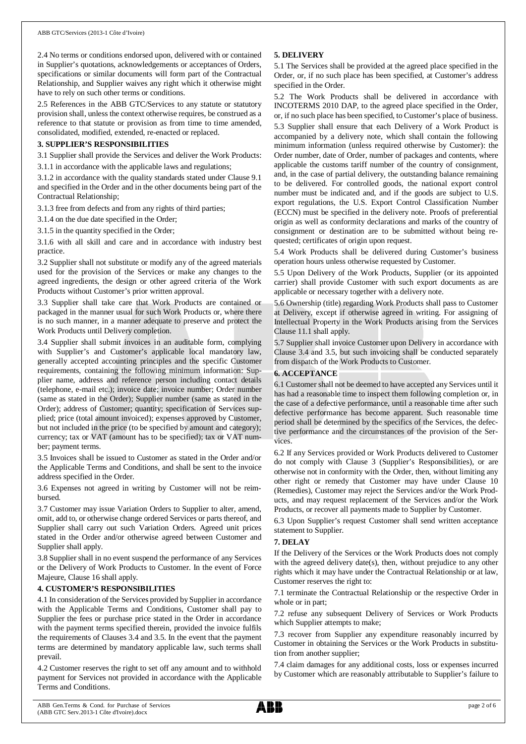2.4 No terms or conditions endorsed upon, delivered with or contained in Supplier's quotations, acknowledgements or acceptances of Orders, specifications or similar documents will form part of the Contractual Relationship, and Supplier waives any right which it otherwise might have to rely on such other terms or conditions.

2.5 References in the ABB GTC/Services to any statute or statutory provision shall, unless the context otherwise requires, be construed as a reference to that statute or provision as from time to time amended, consolidated, modified, extended, re-enacted or replaced.

#### **3. SUPPLIER'S RESPONSIBILITIES**

3.1 Supplier shall provide the Services and deliver the Work Products: 3.1.1 in accordance with the applicable laws and regulations;

3.1.2 in accordance with the quality standards stated under Clause 9.1 and specified in the Order and in the other documents being part of the

Contractual Relationship; 3.1.3 free from defects and from any rights of third parties;

3.1.4 on the due date specified in the Order;

3.1.5 in the quantity specified in the Order;

3.1.6 with all skill and care and in accordance with industry best practice.

3.2 Supplier shall not substitute or modify any of the agreed materials used for the provision of the Services or make any changes to the agreed ingredients, the design or other agreed criteria of the Work Products without Customer's prior written approval.

3.3 Supplier shall take care that Work Products are contained or packaged in the manner usual for such Work Products or, where there is no such manner, in a manner adequate to preserve and protect the Work Products until Delivery completion.

3.4 Supplier shall submit invoices in an auditable form, complying with Supplier's and Customer's applicable local mandatory law, generally accepted accounting principles and the specific Customer requirements, containing the following minimum information: Supplier name, address and reference person including contact details (telephone, e-mail etc.); invoice date; invoice number; Order number (same as stated in the Order); Supplier number (same as stated in the Order); address of Customer; quantity; specification of Services supplied; price (total amount invoiced); expenses approved by Customer, but not included in the price (to be specified by amount and category); currency; tax or VAT (amount has to be specified); tax or VAT number; payment terms.

3.5 Invoices shall be issued to Customer as stated in the Order and/or the Applicable Terms and Conditions, and shall be sent to the invoice address specified in the Order.

3.6 Expenses not agreed in writing by Customer will not be reimbursed.

3.7 Customer may issue Variation Orders to Supplier to alter, amend, omit, add to, or otherwise change ordered Services or parts thereof, and Supplier shall carry out such Variation Orders. Agreed unit prices stated in the Order and/or otherwise agreed between Customer and Supplier shall apply.

3.8 Supplier shall in no event suspend the performance of any Services or the Delivery of Work Products to Customer. In the event of Force Majeure, Clause 16 shall apply.

#### **4. CUSTOMER'S RESPONSIBILITIES**

4.1 In consideration of the Services provided by Supplier in accordance with the Applicable Terms and Conditions, Customer shall pay to Supplier the fees or purchase price stated in the Order in accordance with the payment terms specified therein, provided the invoice fulfils the requirements of Clauses 3.4 and 3.5. In the event that the payment terms are determined by mandatory applicable law, such terms shall prevail.

4.2 Customer reserves the right to set off any amount and to withhold payment for Services not provided in accordance with the Applicable Terms and Conditions.

# **5. DELIVERY**

5.1 The Services shall be provided at the agreed place specified in the Order, or, if no such place has been specified, at Customer's address specified in the Order.

5.2 The Work Products shall be delivered in accordance with INCOTERMS 2010 DAP, to the agreed place specified in the Order, or, if no such place has been specified, to Customer's place of business. 5.3 Supplier shall ensure that each Delivery of a Work Product is accompanied by a delivery note, which shall contain the following minimum information (unless required otherwise by Customer): the Order number, date of Order, number of packages and contents, where applicable the customs tariff number of the country of consignment, and, in the case of partial delivery, the outstanding balance remaining to be delivered. For controlled goods, the national export control number must be indicated and, and if the goods are subject to U.S. export regulations, the U.S. Export Control Classification Number (ECCN) must be specified in the delivery note. Proofs of preferential origin as well as conformity declarations and marks of the country of consignment or destination are to be submitted without being requested; certificates of origin upon request.

5.4 Work Products shall be delivered during Customer's business operation hours unless otherwise requested by Customer.

5.5 Upon Delivery of the Work Products, Supplier (or its appointed carrier) shall provide Customer with such export documents as are applicable or necessary together with a delivery note.

5.6 Ownership (title) regarding Work Products shall pass to Customer at Delivery, except if otherwise agreed in writing. For assigning of Intellectual Property in the Work Products arising from the Services Clause 11.1 shall apply.

5.7 Supplier shall invoice Customer upon Delivery in accordance with Clause 3.4 and 3.5, but such invoicing shall be conducted separately from dispatch of the Work Products to Customer.

#### **6. ACCEPTANCE**

6.1 Customer shall not be deemed to have accepted any Services until it has had a reasonable time to inspect them following completion or, in the case of a defective performance, until a reasonable time after such defective performance has become apparent. Such reasonable time period shall be determined by the specifics of the Services, the defective performance and the circumstances of the provision of the Services.

6.2 If any Services provided or Work Products delivered to Customer do not comply with Clause 3 (Supplier's Responsibilities), or are otherwise not in conformity with the Order, then, without limiting any other right or remedy that Customer may have under Clause 10 (Remedies), Customer may reject the Services and/or the Work Products, and may request replacement of the Services and/or the Work Products, or recover all payments made to Supplier by Customer.

6.3 Upon Supplier's request Customer shall send written acceptance statement to Supplier.

#### **7. DELAY**

If the Delivery of the Services or the Work Products does not comply with the agreed delivery date(s), then, without prejudice to any other rights which it may have under the Contractual Relationship or at law, Customer reserves the right to:

7.1 terminate the Contractual Relationship or the respective Order in whole or in part;

7.2 refuse any subsequent Delivery of Services or Work Products which Supplier attempts to make;

7.3 recover from Supplier any expenditure reasonably incurred by Customer in obtaining the Services or the Work Products in substitution from another supplier;

7.4 claim damages for any additional costs, loss or expenses incurred by Customer which are reasonably attributable to Supplier's failure to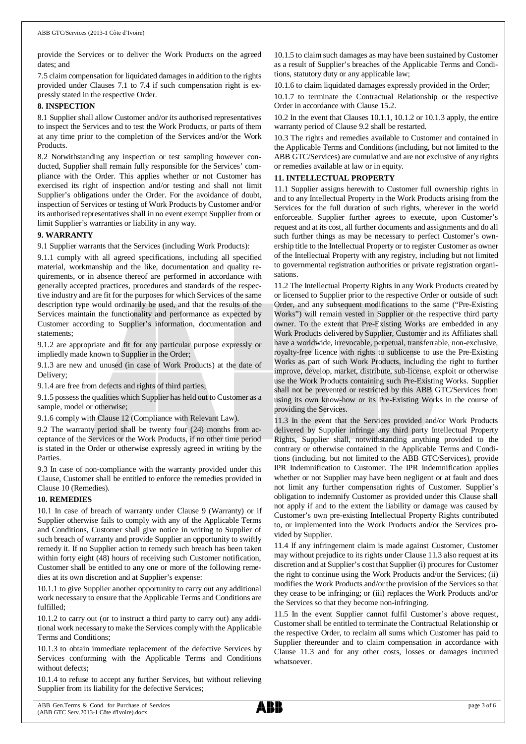provide the Services or to deliver the Work Products on the agreed dates; and

7.5 claim compensation for liquidated damages in addition to the rights provided under Clauses 7.1 to 7.4 if such compensation right is expressly stated in the respective Order.

#### **8. INSPECTION**

8.1 Supplier shall allow Customer and/or its authorised representatives to inspect the Services and to test the Work Products, or parts of them at any time prior to the completion of the Services and/or the Work Products.

8.2 Notwithstanding any inspection or test sampling however conducted, Supplier shall remain fully responsible for the Services' compliance with the Order. This applies whether or not Customer has exercised its right of inspection and/or testing and shall not limit Supplier's obligations under the Order. For the avoidance of doubt, inspection of Services or testing of Work Products by Customer and/or its authorised representatives shall in no event exempt Supplier from or limit Supplier's warranties or liability in any way.

#### **9. WARRANTY**

9.1 Supplier warrants that the Services (including Work Products):

9.1.1 comply with all agreed specifications, including all specified material, workmanship and the like, documentation and quality requirements, or in absence thereof are performed in accordance with generally accepted practices, procedures and standards of the respective industry and are fit for the purposes for which Services of the same description type would ordinarily be used, and that the results of the Services maintain the functionality and performance as expected by Customer according to Supplier's information, documentation and statements;

9.1.2 are appropriate and fit for any particular purpose expressly or impliedly made known to Supplier in the Order;

9.1.3 are new and unused (in case of Work Products) at the date of Delivery;

9.1.4 are free from defects and rights of third parties;

9.1.5 possess the qualities which Supplier has held out to Customer as a sample, model or otherwise;

9.1.6 comply with Clause 12 (Compliance with Relevant Law).

9.2 The warranty period shall be twenty four (24) months from acceptance of the Services or the Work Products, if no other time period is stated in the Order or otherwise expressly agreed in writing by the Parties.

9.3 In case of non-compliance with the warranty provided under this Clause, Customer shall be entitled to enforce the remedies provided in Clause 10 (Remedies).

#### **10. REMEDIES**

10.1 In case of breach of warranty under Clause 9 (Warranty) or if Supplier otherwise fails to comply with any of the Applicable Terms and Conditions, Customer shall give notice in writing to Supplier of such breach of warranty and provide Supplier an opportunity to swiftly remedy it. If no Supplier action to remedy such breach has been taken within forty eight (48) hours of receiving such Customer notification, Customer shall be entitled to any one or more of the following remedies at its own discretion and at Supplier's expense:

10.1.1 to give Supplier another opportunity to carry out any additional work necessary to ensure that the Applicable Terms and Conditions are fulfilled;

10.1.2 to carry out (or to instruct a third party to carry out) any additional work necessary to make the Services comply with the Applicable Terms and Conditions;

10.1.3 to obtain immediate replacement of the defective Services by Services conforming with the Applicable Terms and Conditions without defects;

10.1.4 to refuse to accept any further Services, but without relieving Supplier from its liability for the defective Services;

10.1.5 to claim such damages as may have been sustained by Customer as a result of Supplier's breaches of the Applicable Terms and Conditions, statutory duty or any applicable law;

10.1.6 to claim liquidated damages expressly provided in the Order;

10.1.7 to terminate the Contractual Relationship or the respective Order in accordance with Clause 15.2.

10.2 In the event that Clauses 10.1.1, 10.1.2 or 10.1.3 apply, the entire warranty period of Clause 9.2 shall be restarted.

10.3 The rights and remedies available to Customer and contained in the Applicable Terms and Conditions (including, but not limited to the ABB GTC/Services) are cumulative and are not exclusive of any rights or remedies available at law or in equity.

#### **11. INTELLECTUAL PROPERTY**

11.1 Supplier assigns herewith to Customer full ownership rights in and to any Intellectual Property in the Work Products arising from the Services for the full duration of such rights, wherever in the world enforceable. Supplier further agrees to execute, upon Customer's request and at its cost, all further documents and assignments and do all such further things as may be necessary to perfect Customer's ownership title to the Intellectual Property or to register Customer as owner of the Intellectual Property with any registry, including but not limited to governmental registration authorities or private registration organisations.

11.2 The Intellectual Property Rights in any Work Products created by or licensed to Supplier prior to the respective Order or outside of such Order, and any subsequent modifications to the same ("Pre-Existing Works") will remain vested in Supplier or the respective third party owner. To the extent that Pre-Existing Works are embedded in any Work Products delivered by Supplier, Customer and its Affiliates shall have a worldwide, irrevocable, perpetual, transferrable, non-exclusive, royalty-free licence with rights to sublicense to use the Pre-Existing Works as part of such Work Products, including the right to further improve, develop, market, distribute, sub-license, exploit or otherwise use the Work Products containing such Pre-Existing Works. Supplier shall not be prevented or restricted by this ABB GTC/Services from using its own know-how or its Pre-Existing Works in the course of providing the Services.

11.3 In the event that the Services provided and/or Work Products delivered by Supplier infringe any third party Intellectual Property Rights, Supplier shall, notwithstanding anything provided to the contrary or otherwise contained in the Applicable Terms and Conditions (including, but not limited to the ABB GTC/Services), provide IPR Indemnification to Customer. The IPR Indemnification applies whether or not Supplier may have been negligent or at fault and does not limit any further compensation rights of Customer. Supplier's obligation to indemnify Customer as provided under this Clause shall not apply if and to the extent the liability or damage was caused by Customer's own pre-existing Intellectual Property Rights contributed to, or implemented into the Work Products and/or the Services provided by Supplier.

11.4 If any infringement claim is made against Customer, Customer may without prejudice to its rights under Clause 11.3 also request at its discretion and at Supplier's cost that Supplier (i) procures for Customer the right to continue using the Work Products and/or the Services; (ii) modifies the Work Products and/or the provision of the Services so that they cease to be infringing; or (iii) replaces the Work Products and/or the Services so that they become non-infringing.

11.5 In the event Supplier cannot fulfil Customer's above request, Customer shall be entitled to terminate the Contractual Relationship or the respective Order, to reclaim all sums which Customer has paid to Supplier thereunder and to claim compensation in accordance with Clause 11.3 and for any other costs, losses or damages incurred whatsoever.

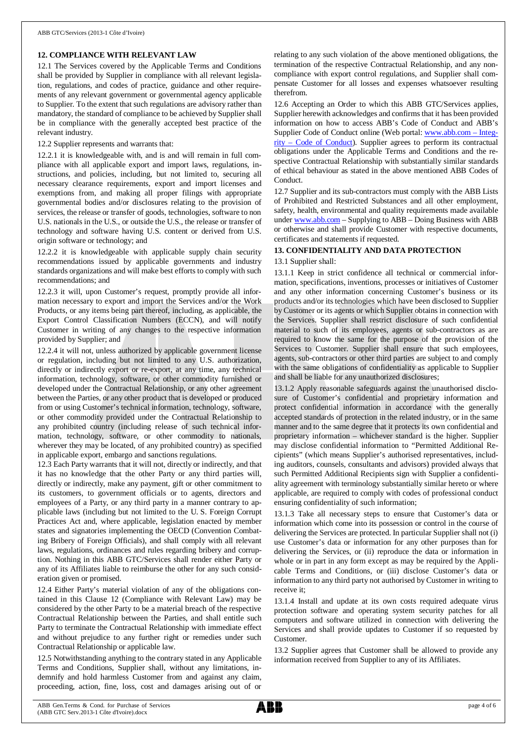# **12. COMPLIANCE WITH RELEVANT LAW**

12.1 The Services covered by the Applicable Terms and Conditions shall be provided by Supplier in compliance with all relevant legislation, regulations, and codes of practice, guidance and other requirements of any relevant government or governmental agency applicable to Supplier. To the extent that such regulations are advisory rather than mandatory, the standard of compliance to be achieved by Supplier shall be in compliance with the generally accepted best practice of the relevant industry.

12.2 Supplier represents and warrants that:

12.2.1 it is knowledgeable with, and is and will remain in full compliance with all applicable export and import laws, regulations, instructions, and policies, including, but not limited to, securing all necessary clearance requirements, export and import licenses and exemptions from, and making all proper filings with appropriate governmental bodies and/or disclosures relating to the provision of services, the release or transfer of goods, technologies, software to non U.S. nationals in the U.S., or outside the U.S., the release or transfer of technology and software having U.S. content or derived from U.S. origin software or technology; and

12.2.2 it is knowledgeable with applicable supply chain security recommendations issued by applicable governments and industry standards organizations and will make best efforts to comply with such recommendations; and

12.2.3 it will, upon Customer's request, promptly provide all information necessary to export and import the Services and/or the Work Products, or any items being part thereof, including, as applicable, the Export Control Classification Numbers (ECCN), and will notify Customer in writing of any changes to the respective information provided by Supplier; and

12.2.4 it will not, unless authorized by applicable government license or regulation, including but not limited to any U.S. authorization, directly or indirectly export or re-export, at any time, any technical information, technology, software, or other commodity furnished or developed under the Contractual Relationship, or any other agreement between the Parties, or any other product that is developed or produced from or using Customer's technical information, technology, software, or other commodity provided under the Contractual Relationship to any prohibited country (including release of such technical information, technology, software, or other commodity to nationals, wherever they may be located, of any prohibited country) as specified in applicable export, embargo and sanctions regulations.

12.3 Each Party warrants that it will not, directly or indirectly, and that it has no knowledge that the other Party or any third parties will, directly or indirectly, make any payment, gift or other commitment to its customers, to government officials or to agents, directors and employees of a Party, or any third party in a manner contrary to applicable laws (including but not limited to the U. S. Foreign Corrupt Practices Act and, where applicable, legislation enacted by member states and signatories implementing the OECD (Convention Combating Bribery of Foreign Officials), and shall comply with all relevant laws, regulations, ordinances and rules regarding bribery and corruption. Nothing in this ABB GTC/Services shall render either Party or any of its Affiliates liable to reimburse the other for any such consideration given or promised.

12.4 Either Party's material violation of any of the obligations contained in this Clause 12 (Compliance with Relevant Law) may be considered by the other Party to be a material breach of the respective Contractual Relationship between the Parties, and shall entitle such Party to terminate the Contractual Relationship with immediate effect and without prejudice to any further right or remedies under such Contractual Relationship or applicable law.

12.5 Notwithstanding anything to the contrary stated in any Applicable Terms and Conditions, Supplier shall, without any limitations, indemnify and hold harmless Customer from and against any claim, proceeding, action, fine, loss, cost and damages arising out of or

relating to any such violation of the above mentioned obligations, the termination of the respective Contractual Relationship, and any noncompliance with export control regulations, and Supplier shall compensate Customer for all losses and expenses whatsoever resulting therefrom.

12.6 Accepting an Order to which this ABB GTC/Services applies, Supplier herewith acknowledges and confirms that it has been provided information on how to access ABB's Code of Conduct and ABB's Supplier Code of Conduct online (Web portal: [www.abb.com](http://www.abb.com/) – Integrity – Code of Conduct). Supplier agrees to perform its contractual obligations under the Applicable Terms and Conditions and the respective Contractual Relationship with substantially similar standards of ethical behaviour as stated in the above mentioned ABB Codes of Conduct.

12.7 Supplier and its sub-contractors must comply with the ABB Lists of Prohibited and Restricted Substances and all other employment, safety, health, environmental and quality requirements made available under [www.abb.com](http://www.abb.com/) – Supplying to ABB – Doing Business with ABB or otherwise and shall provide Customer with respective documents, certificates and statements if requested.

# **13. CONFIDENTIALITY AND DATA PROTECTION**

#### 13.1 Supplier shall:

13.1.1 Keep in strict confidence all technical or commercial information, specifications, inventions, processes or initiatives of Customer and any other information concerning Customer's business or its products and/or its technologies which have been disclosed to Supplier by Customer or its agents or which Supplier obtains in connection with the Services. Supplier shall restrict disclosure of such confidential material to such of its employees, agents or sub-contractors as are required to know the same for the purpose of the provision of the Services to Customer. Supplier shall ensure that such employees, agents, sub-contractors or other third parties are subject to and comply with the same obligations of confidentiality as applicable to Supplier and shall be liable for any unauthorized disclosures;

13.1.2 Apply reasonable safeguards against the unauthorised disclosure of Customer's confidential and proprietary information and protect confidential information in accordance with the generally accepted standards of protection in the related industry, or in the same manner and to the same degree that it protects its own confidential and proprietary information – whichever standard is the higher. Supplier may disclose confidential information to "Permitted Additional Recipients" (which means Supplier's authorised representatives, including auditors, counsels, consultants and advisors) provided always that such Permitted Additional Recipients sign with Supplier a confidentiality agreement with terminology substantially similar hereto or where applicable, are required to comply with codes of professional conduct ensuring confidentiality of such information;

13.1.3 Take all necessary steps to ensure that Customer's data or information which come into its possession or control in the course of delivering the Services are protected. In particular Supplier shall not (i) use Customer's data or information for any other purposes than for delivering the Services, or (ii) reproduce the data or information in whole or in part in any form except as may be required by the Applicable Terms and Conditions, or (iii) disclose Customer's data or information to any third party not authorised by Customer in writing to receive it;

13.1.4 Install and update at its own costs required adequate virus protection software and operating system security patches for all computers and software utilized in connection with delivering the Services and shall provide updates to Customer if so requested by Customer.

13.2 Supplier agrees that Customer shall be allowed to provide any information received from Supplier to any of its Affiliates.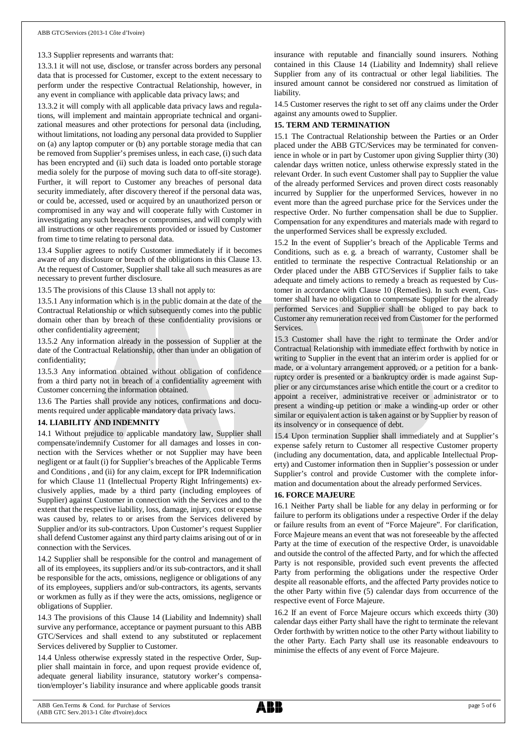#### 13.3 Supplier represents and warrants that:

13.3.1 it will not use, disclose, or transfer across borders any personal data that is processed for Customer, except to the extent necessary to perform under the respective Contractual Relationship, however, in any event in compliance with applicable data privacy laws; and

13.3.2 it will comply with all applicable data privacy laws and regulations, will implement and maintain appropriate technical and organizational measures and other protections for personal data (including, without limitations, not loading any personal data provided to Supplier on (a) any laptop computer or (b) any portable storage media that can be removed from Supplier's premises unless, in each case, (i) such data has been encrypted and (ii) such data is loaded onto portable storage media solely for the purpose of moving such data to off-site storage). Further, it will report to Customer any breaches of personal data security immediately, after discovery thereof if the personal data was, or could be, accessed, used or acquired by an unauthorized person or compromised in any way and will cooperate fully with Customer in investigating any such breaches or compromises, and will comply with all instructions or other requirements provided or issued by Customer from time to time relating to personal data.

13.4 Supplier agrees to notify Customer immediately if it becomes aware of any disclosure or breach of the obligations in this Clause 13. At the request of Customer, Supplier shall take all such measures as are necessary to prevent further disclosure.

13.5 The provisions of this Clause 13 shall not apply to:

13.5.1 Any information which is in the public domain at the date of the Contractual Relationship or which subsequently comes into the public domain other than by breach of these confidentiality provisions or other confidentiality agreement;

13.5.2 Any information already in the possession of Supplier at the date of the Contractual Relationship, other than under an obligation of confidentiality;

13.5.3 Any information obtained without obligation of confidence from a third party not in breach of a confidentiality agreement with Customer concerning the information obtained.

13.6 The Parties shall provide any notices, confirmations and documents required under applicable mandatory data privacy laws.

#### **14. LIABILITY AND INDEMNITY**

14.1 Without prejudice to applicable mandatory law, Supplier shall compensate/indemnify Customer for all damages and losses in connection with the Services whether or not Supplier may have been negligent or at fault (i) for Supplier's breaches of the Applicable Terms and Conditions , and (ii) for any claim, except for IPR Indemnification for which Clause 11 (Intellectual Property Right Infringements) exclusively applies, made by a third party (including employees of Supplier) against Customer in connection with the Services and to the extent that the respective liability, loss, damage, injury, cost or expense was caused by, relates to or arises from the Services delivered by Supplier and/or its sub-contractors. Upon Customer's request Supplier shall defend Customer against any third party claims arising out of or in connection with the Services.

14.2 Supplier shall be responsible for the control and management of all of its employees, its suppliers and/or its sub-contractors, and it shall be responsible for the acts, omissions, negligence or obligations of any of its employees, suppliers and/or sub-contractors, its agents, servants or workmen as fully as if they were the acts, omissions, negligence or obligations of Supplier.

14.3 The provisions of this Clause 14 (Liability and Indemnity) shall survive any performance, acceptance or payment pursuant to this ABB GTC/Services and shall extend to any substituted or replacement Services delivered by Supplier to Customer.

14.4 Unless otherwise expressly stated in the respective Order, Supplier shall maintain in force, and upon request provide evidence of, adequate general liability insurance, statutory worker's compensation/employer's liability insurance and where applicable goods transit

insurance with reputable and financially sound insurers. Nothing contained in this Clause 14 (Liability and Indemnity) shall relieve Supplier from any of its contractual or other legal liabilities. The insured amount cannot be considered nor construed as limitation of liability.

14.5 Customer reserves the right to set off any claims under the Order against any amounts owed to Supplier.

# **15. TERM AND TERMINATION**

15.1 The Contractual Relationship between the Parties or an Order placed under the ABB GTC/Services may be terminated for convenience in whole or in part by Customer upon giving Supplier thirty (30) calendar days written notice, unless otherwise expressly stated in the relevant Order. In such event Customer shall pay to Supplier the value of the already performed Services and proven direct costs reasonably incurred by Supplier for the unperformed Services, however in no event more than the agreed purchase price for the Services under the respective Order. No further compensation shall be due to Supplier. Compensation for any expenditures and materials made with regard to the unperformed Services shall be expressly excluded.

15.2 In the event of Supplier's breach of the Applicable Terms and Conditions, such as e. g. a breach of warranty, Customer shall be entitled to terminate the respective Contractual Relationship or an Order placed under the ABB GTC/Services if Supplier fails to take adequate and timely actions to remedy a breach as requested by Customer in accordance with Clause 10 (Remedies). In such event, Customer shall have no obligation to compensate Supplier for the already performed Services and Supplier shall be obliged to pay back to Customer any remuneration received from Customer for the performed **Services** 

15.3 Customer shall have the right to terminate the Order and/or Contractual Relationship with immediate effect forthwith by notice in writing to Supplier in the event that an interim order is applied for or made, or a voluntary arrangement approved, or a petition for a bankruptcy order is presented or a bankruptcy order is made against Supplier or any circumstances arise which entitle the court or a creditor to appoint a receiver, administrative receiver or administrator or to present a winding-up petition or make a winding-up order or other similar or equivalent action is taken against or by Supplier by reason of its insolvency or in consequence of debt.

15.4 Upon termination Supplier shall immediately and at Supplier's expense safely return to Customer all respective Customer property (including any documentation, data, and applicable Intellectual Property) and Customer information then in Supplier's possession or under Supplier's control and provide Customer with the complete information and documentation about the already performed Services.

#### **16. FORCE MAJEURE**

16.1 Neither Party shall be liable for any delay in performing or for failure to perform its obligations under a respective Order if the delay or failure results from an event of "Force Majeure". For clarification, Force Majeure means an event that was not foreseeable by the affected Party at the time of execution of the respective Order, is unavoidable and outside the control of the affected Party, and for which the affected Party is not responsible, provided such event prevents the affected Party from performing the obligations under the respective Order despite all reasonable efforts, and the affected Party provides notice to the other Party within five (5) calendar days from occurrence of the respective event of Force Majeure.

16.2 If an event of Force Majeure occurs which exceeds thirty (30) calendar days either Party shall have the right to terminate the relevant Order forthwith by written notice to the other Party without liability to the other Party. Each Party shall use its reasonable endeavours to minimise the effects of any event of Force Majeure.